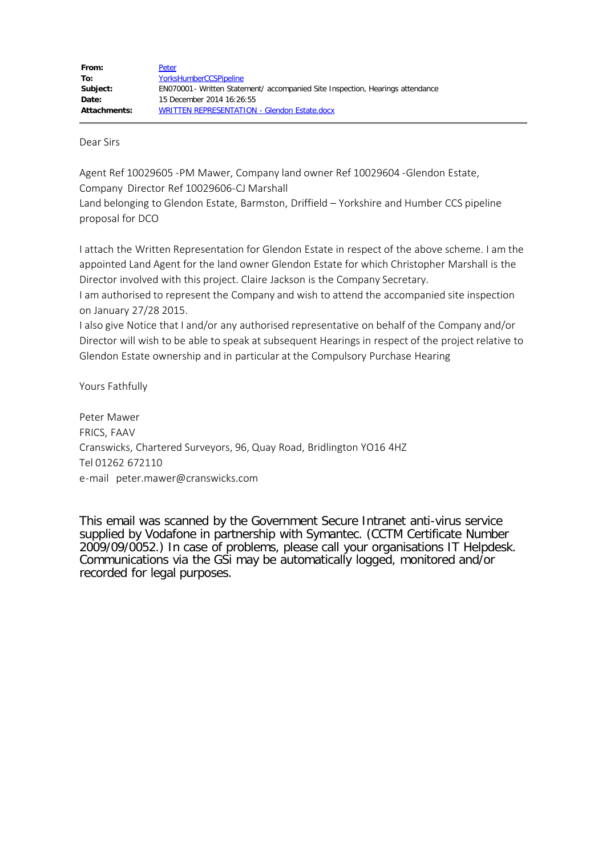Dear Sirs

Agent Ref 10029605 -PM Mawer, Company land owner Ref 10029604 -Glendon Estate, Company Director Ref 10029606-CJ Marshall Land belonging to Glendon Estate, Barmston, Driffield – Yorkshire and Humber CCS pipeline proposal for DCO

I attach the Written Representation for Glendon Estate in respect of the above scheme. I am the appointed Land Agent for the land owner Glendon Estate for which Christopher Marshall is the Director involved with this project. Claire Jackson is the Company Secretary.

I am authorised to represent the Company and wish to attend the accompanied site inspection on January 27/28 2015.

I also give Notice that I and/or any authorised representative on behalf of the Company and/or Director will wish to be able to speak at subsequent Hearings in respect of the project relative to Glendon Estate ownership and in particular at the Compulsory Purchase Hearing

Yours Fathfully

Peter Mawer FRICS, FAAV Cranswicks, Chartered Surveyors, 96, Quay Road, Bridlington YO16 4HZ Tel 01262 672110 e-mail peter.mawer@cranswicks.com

This email was scanned by the Government Secure Intranet anti-virus service supplied by Vodafone in partnership with Symantec. (CCTM Certificate Number 2009/09/0052.) In case of problems, please call your organisations IT Helpdesk. Communications via the GSi may be automatically logged, monitored and/or recorded for legal purposes.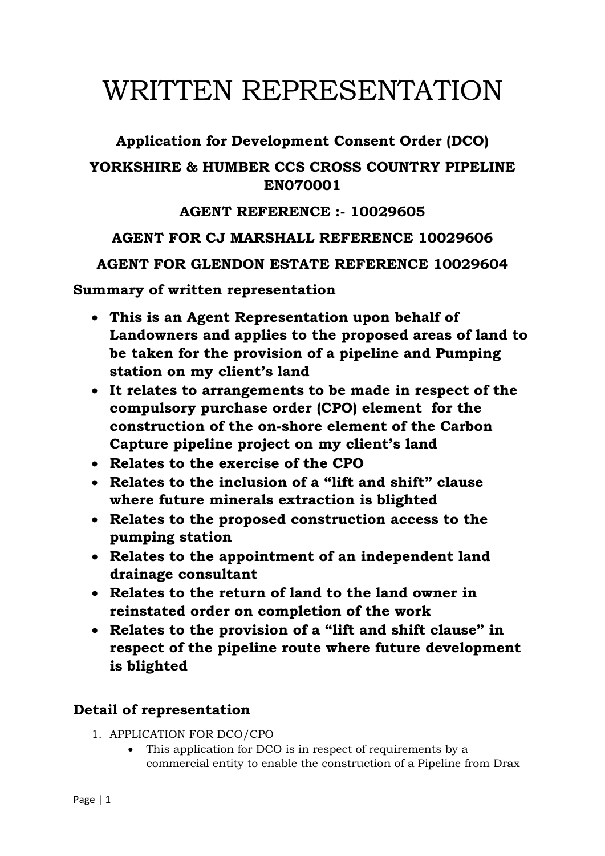# WRITTEN REPRESENTATION

## **Application for Development Consent Order (DCO) YORKSHIRE & HUMBER CCS CROSS COUNTRY PIPELINE EN070001**

## **AGENT REFERENCE :- 10029605**

### **AGENT FOR CJ MARSHALL REFERENCE 10029606**

**AGENT FOR GLENDON ESTATE REFERENCE 10029604**

**Summary of written representation**

- **This is an Agent Representation upon behalf of Landowners and applies to the proposed areas of land to be taken for the provision of a pipeline and Pumping station on my client's land**
- **It relates to arrangements to be made in respect of the compulsory purchase order (CPO) element for the construction of the on-shore element of the Carbon Capture pipeline project on my client's land**
- **Relates to the exercise of the CPO**
- **Relates to the inclusion of a "lift and shift" clause where future minerals extraction is blighted**
- **Relates to the proposed construction access to the pumping station**
- **Relates to the appointment of an independent land drainage consultant**
- **Relates to the return of land to the land owner in reinstated order on completion of the work**
- **Relates to the provision of a "lift and shift clause" in respect of the pipeline route where future development is blighted**

## **Detail of representation**

- 1. APPLICATION FOR DCO/CPO
	- This application for DCO is in respect of requirements by a commercial entity to enable the construction of a Pipeline from Drax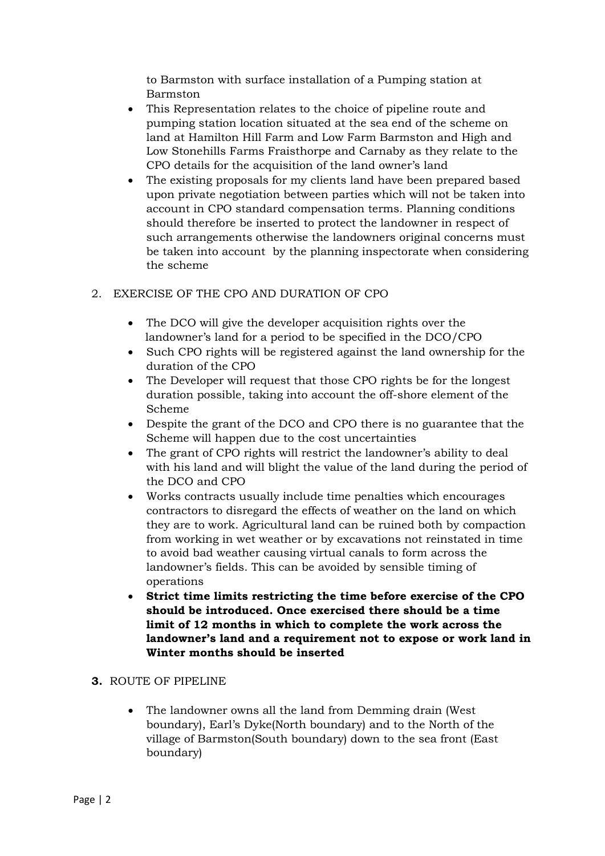to Barmston with surface installation of a Pumping station at Barmston

- This Representation relates to the choice of pipeline route and pumping station location situated at the sea end of the scheme on land at Hamilton Hill Farm and Low Farm Barmston and High and Low Stonehills Farms Fraisthorpe and Carnaby as they relate to the CPO details for the acquisition of the land owner's land
- The existing proposals for my clients land have been prepared based upon private negotiation between parties which will not be taken into account in CPO standard compensation terms. Planning conditions should therefore be inserted to protect the landowner in respect of such arrangements otherwise the landowners original concerns must be taken into account by the planning inspectorate when considering the scheme

#### 2. EXERCISE OF THE CPO AND DURATION OF CPO

- The DCO will give the developer acquisition rights over the landowner's land for a period to be specified in the DCO/CPO
- Such CPO rights will be registered against the land ownership for the duration of the CPO
- The Developer will request that those CPO rights be for the longest duration possible, taking into account the off-shore element of the Scheme
- Despite the grant of the DCO and CPO there is no guarantee that the Scheme will happen due to the cost uncertainties
- The grant of CPO rights will restrict the landowner's ability to deal with his land and will blight the value of the land during the period of the DCO and CPO
- Works contracts usually include time penalties which encourages contractors to disregard the effects of weather on the land on which they are to work. Agricultural land can be ruined both by compaction from working in wet weather or by excavations not reinstated in time to avoid bad weather causing virtual canals to form across the landowner's fields. This can be avoided by sensible timing of operations
- **Strict time limits restricting the time before exercise of the CPO should be introduced. Once exercised there should be a time limit of 12 months in which to complete the work across the landowner's land and a requirement not to expose or work land in Winter months should be inserted**

#### **3.** ROUTE OF PIPELINE

• The landowner owns all the land from Demming drain (West boundary), Earl's Dyke(North boundary) and to the North of the village of Barmston(South boundary) down to the sea front (East boundary)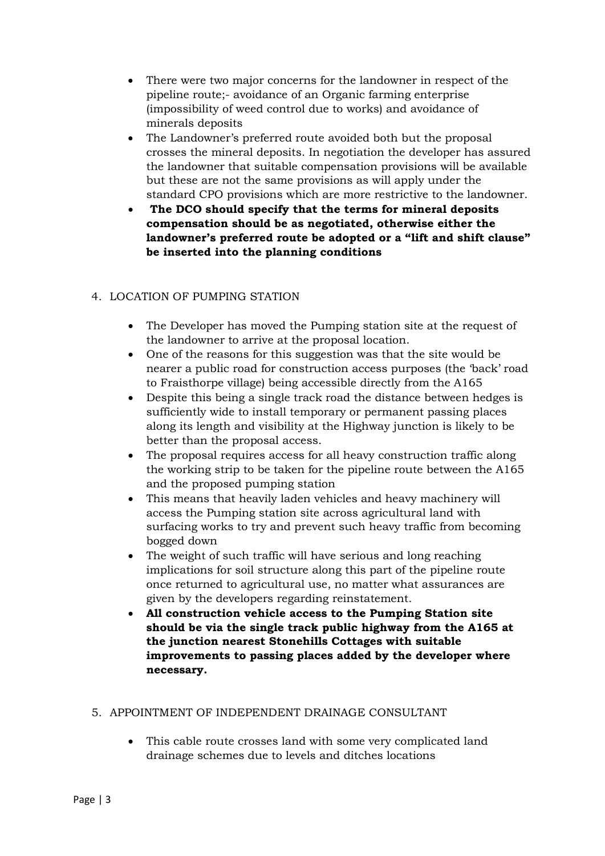- There were two major concerns for the landowner in respect of the pipeline route;- avoidance of an Organic farming enterprise (impossibility of weed control due to works) and avoidance of minerals deposits
- The Landowner's preferred route avoided both but the proposal crosses the mineral deposits. In negotiation the developer has assured the landowner that suitable compensation provisions will be available but these are not the same provisions as will apply under the standard CPO provisions which are more restrictive to the landowner.
- **The DCO should specify that the terms for mineral deposits compensation should be as negotiated, otherwise either the landowner's preferred route be adopted or a "lift and shift clause" be inserted into the planning conditions**

#### 4. LOCATION OF PUMPING STATION

- The Developer has moved the Pumping station site at the request of the landowner to arrive at the proposal location.
- One of the reasons for this suggestion was that the site would be nearer a public road for construction access purposes (the 'back' road to Fraisthorpe village) being accessible directly from the A165
- Despite this being a single track road the distance between hedges is sufficiently wide to install temporary or permanent passing places along its length and visibility at the Highway junction is likely to be better than the proposal access.
- The proposal requires access for all heavy construction traffic along the working strip to be taken for the pipeline route between the A165 and the proposed pumping station
- This means that heavily laden vehicles and heavy machinery will access the Pumping station site across agricultural land with surfacing works to try and prevent such heavy traffic from becoming bogged down
- The weight of such traffic will have serious and long reaching implications for soil structure along this part of the pipeline route once returned to agricultural use, no matter what assurances are given by the developers regarding reinstatement.
- **All construction vehicle access to the Pumping Station site should be via the single track public highway from the A165 at the junction nearest Stonehills Cottages with suitable improvements to passing places added by the developer where necessary.**

#### 5. APPOINTMENT OF INDEPENDENT DRAINAGE CONSULTANT

• This cable route crosses land with some very complicated land drainage schemes due to levels and ditches locations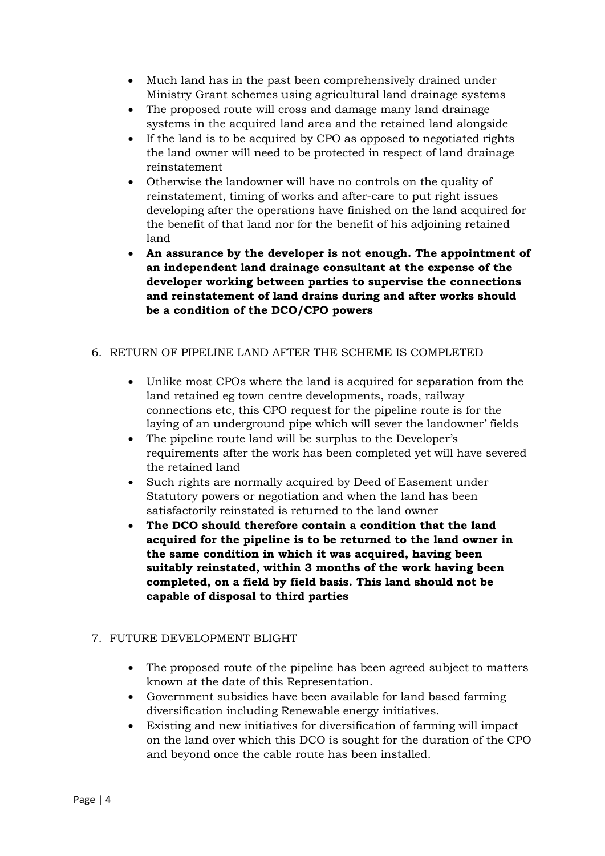- Much land has in the past been comprehensively drained under Ministry Grant schemes using agricultural land drainage systems
- The proposed route will cross and damage many land drainage systems in the acquired land area and the retained land alongside
- If the land is to be acquired by CPO as opposed to negotiated rights the land owner will need to be protected in respect of land drainage reinstatement
- Otherwise the landowner will have no controls on the quality of reinstatement, timing of works and after-care to put right issues developing after the operations have finished on the land acquired for the benefit of that land nor for the benefit of his adjoining retained land
- **An assurance by the developer is not enough. The appointment of an independent land drainage consultant at the expense of the developer working between parties to supervise the connections and reinstatement of land drains during and after works should be a condition of the DCO/CPO powers**

#### 6. RETURN OF PIPELINE LAND AFTER THE SCHEME IS COMPLETED

- Unlike most CPOs where the land is acquired for separation from the land retained eg town centre developments, roads, railway connections etc, this CPO request for the pipeline route is for the laying of an underground pipe which will sever the landowner' fields
- The pipeline route land will be surplus to the Developer's requirements after the work has been completed yet will have severed the retained land
- Such rights are normally acquired by Deed of Easement under Statutory powers or negotiation and when the land has been satisfactorily reinstated is returned to the land owner
- **The DCO should therefore contain a condition that the land acquired for the pipeline is to be returned to the land owner in the same condition in which it was acquired, having been suitably reinstated, within 3 months of the work having been completed, on a field by field basis. This land should not be capable of disposal to third parties**

#### 7. FUTURE DEVELOPMENT BLIGHT

- The proposed route of the pipeline has been agreed subject to matters known at the date of this Representation.
- Government subsidies have been available for land based farming diversification including Renewable energy initiatives.
- Existing and new initiatives for diversification of farming will impact on the land over which this DCO is sought for the duration of the CPO and beyond once the cable route has been installed.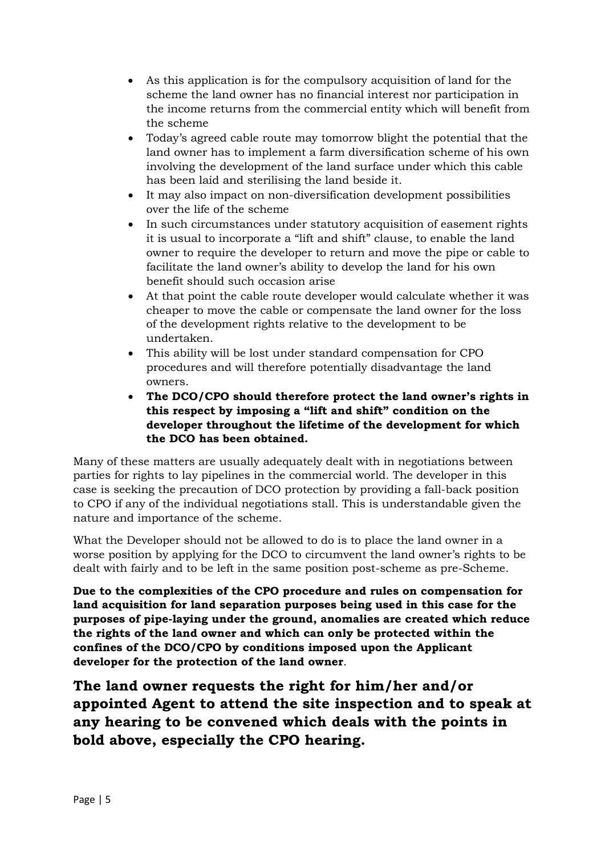- As this application is for the compulsory acquisition of land for the scheme the land owner has no financial interest nor participation in the income returns from the commercial entity which will benefit from the scheme
- Today's agreed cable route may tomorrow blight the potential that the land owner has to implement a farm diversification scheme of his own involving the development of the land surface under which this cable has been laid and sterilising the land beside it.
- It may also impact on non-diversification development possibilities over the life of the scheme
- In such circumstances under statutory acquisition of easement rights it is usual to incorporate a "lift and shift" clause, to enable the land owner to require the developer to return and move the pipe or cable to facilitate the land owner's ability to develop the land for his own benefit should such occasion arise
- At that point the cable route developer would calculate whether it was cheaper to move the cable or compensate the land owner for the loss of the development rights relative to the development to be undertaken.
- This ability will be lost under standard compensation for CPO procedures and will therefore potentially disadvantage the land owners.
- **The DCO/CPO should therefore protect the land owner's rights in this respect by imposing a "lift and shift" condition on the developer throughout the lifetime of the development for which the DCO has been obtained.**

Many of these matters are usually adequately dealt with in negotiations between parties for rights to lay pipelines in the commercial world. The developer in this case is seeking the precaution of DCO protection by providing a fall-back position to CPO if any of the individual negotiations stall. This is understandable given the nature and importance of the scheme.

What the Developer should not be allowed to do is to place the land owner in a worse position by applying for the DCO to circumvent the land owner's rights to be dealt with fairly and to be left in the same position post-scheme as pre-Scheme.

**Due to the complexities of the CPO procedure and rules on compensation for land acquisition for land separation purposes being used in this case for the purposes of pipe-laying under the ground, anomalies are created which reduce the rights of the land owner and which can only be protected within the confines of the DCO/CPO by conditions imposed upon the Applicant developer for the protection of the land owner**.

**The land owner requests the right for him/her and/or appointed Agent to attend the site inspection and to speak at any hearing to be convened which deals with the points in bold above, especially the CPO hearing.**